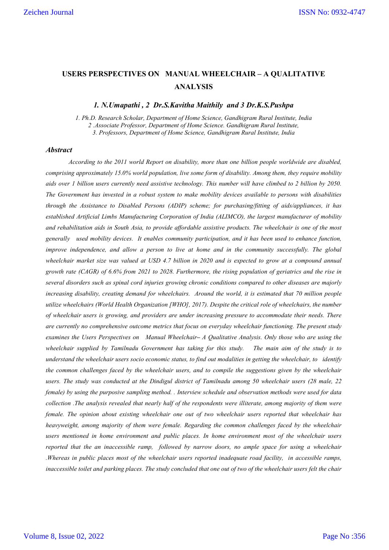# **USERS PERSPECTIVES ON MANUAL WHEELCHAIR – A QUALITATIVE ANALYSIS**

#### *1. N.Umapathi , 2 Dr.S.Kavitha Maithily and 3 Dr.K.S.Pushpa*

*1. Ph.D. Research Scholar, Department of Home Science, Gandhigram Rural Institute, India 2 .Associate Professor, Department of Home Science. Gandhigram Rural Institute, 3. Professors, Department of Home Science, Gandhigram Rural Institute, India*

#### *Abstract*

*According to the 2011 world Report on disability, more than one billion people worldwide are disabled, comprising approximately 15.0% world population, live some form of disability. Among them, they require mobility aids over 1 billion users currently need assistive technology. This number will have climbed to 2 billion by 2050. The Government has invested in a robust system to make mobility devices available to persons with disabilities through the Assistance to Disabled Persons (ADIP) scheme; for purchasing/fitting of aids/appliances, it has established Artificial Limbs Manufacturing Corporation of India (ALIMCO), the largest manufacturer of mobility and rehabilitation aids in South Asia, to provide affordable assistive products. The wheelchair is one of the most generally used mobility devices. It enables community participation, and it has been used to enhance function, improve independence, and allow a person to live at home and in the community successfully. The global wheelchair market size was valued at USD 4.7 billion in 2020 and is expected to grow at a compound annual growth rate (CAGR) of 6.6% from 2021 to 2028. Furthermore, the rising population of geriatrics and the rise in several disorders such as spinal cord injuries growing chronic conditions compared to other diseases are majorly increasing disability, creating demand for wheelchairs. Around the world, it is estimated that 70 million people utilize wheelchairs (World Health Organization [WHO], 2017). Despite the critical role of wheelchairs, the number of wheelchair users is growing, and providers are under increasing pressure to accommodate their needs. There are currently no comprehensive outcome metrics that focus on everyday wheelchair functioning. The present study examines the Users Perspectives on Manual Wheelchair– A Qualitative Analysis. Only those who are using the wheelchair supplied by Tamilnadu Government has taking for this study. The main aim of the study is to understand the wheelchair users socio economic status, to find out modalities in getting the wheelchair, to identify the common challenges faced by the wheelchair users, and to compile the suggestions given by the wheelchair users. The study was conducted at the Dindigul district of Tamilnadu among 50 wheelchair users (28 male, 22 female) by using the purposive sampling method. . Interview schedule and observation methods were used for data collection .The analysis revealed that nearly half of the respondents were illiterate, among majority of them were female. The opinion about existing wheelchair one out of two wheelchair users reported that wheelchair has heavyweight, among majority of them were female. Regarding the common challenges faced by the wheelchair users mentioned in home environment and public places. In home environment most of the wheelchair users reported that the an inaccessible ramp, followed by narrow doors, no ample space for using a wheelchair .Whereas in public places most of the wheelchair users reported inadequate road facility, in accessible ramps, inaccessible toilet and parking places. The study concluded that one out of two of the wheelchair users felt the chair*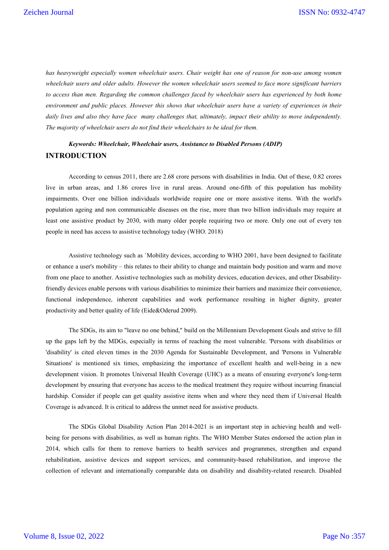*has heavyweight especially women wheelchair users. Chair weight has one of reason for non-use among women wheelchair users and older adults. However the women wheelchair users seemed to face more significant barriers to access than men. Regarding the common challenges faced by wheelchair users has experienced by both home environment and public places. However this shows that wheelchair users have a variety of experiences in their daily lives and also they have face many challenges that, ultimately, impact their ability to move independently. The majority of wheelchair users do not find their wheelchairs to be ideal for them.*

## *Keywords: Wheelchair, Wheelchair users, Assistance to Disabled Persons (ADIP)* **INTRODUCTION**

According to census 2011, there are 2.68 crore persons with disabilities in India. Out of these, 0.82 crores live in urban areas, and 1.86 crores live in rural areas. Around one-fifth of this population has mobility impairments. Over one billion individuals worldwide require one or more assistive items. With the world's population ageing and non communicable diseases on the rise, more than two billion individuals may require at least one assistive product by 2030, with many older people requiring two or more. Only one out of every ten people in need has access to assistive technology today (WHO. 2018)

Assistive technology such as `Mobility devices, according to WHO 2001, have been designed to facilitate or enhance a user's mobility – this relates to their ability to change and maintain body position and warm and move from one place to another. Assistive technologies such as mobility devices, education devices, and other Disabilityfriendly devices enable persons with various disabilities to minimize their barriers and maximize their convenience, functional independence, inherent capabilities and work performance resulting in higher dignity, greater productivity and better quality of life (Eide&Oderud 2009).

The SDGs, its aim to "leave no one behind," build on the Millennium Development Goals and strive to fill up the gaps left by the MDGs, especially in terms of reaching the most vulnerable. 'Persons with disabilities or 'disability' is cited eleven times in the 2030 Agenda for Sustainable Development, and 'Persons in Vulnerable Situations' is mentioned six times, emphasizing the importance of excellent health and well-being in a new development vision. It promotes Universal Health Coverage (UHC) as a means of ensuring everyone's long-term development by ensuring that everyone has access to the medical treatment they require without incurring financial hardship. Consider if people can get quality assistive items when and where they need them if Universal Health Coverage is advanced. It is critical to address the unmet need for assistive products.

The SDGs Global Disability Action Plan 2014-2021 is an important step in achieving health and wellbeing for persons with disabilities, as well as human rights. The WHO Member States endorsed the action plan in 2014, which calls for them to remove barriers to health services and programmes, strengthen and expand rehabilitation, assistive devices and support services, and community-based rehabilitation, and improve the collection of relevant and internationally comparable data on disability and disability-related research. Disabled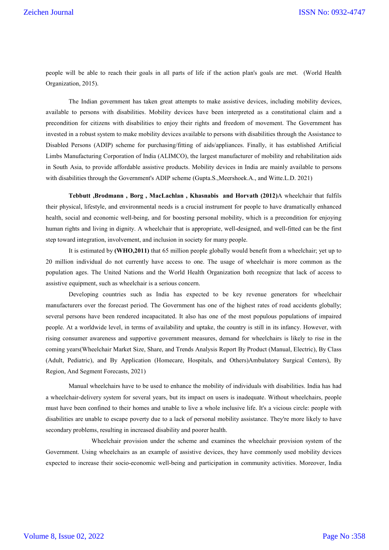people will be able to reach their goals in all parts of life if the action plan's goals are met. (World Health Organization, 2015).

The Indian government has taken great attempts to make assistive devices, including mobility devices, available to persons with disabilities. Mobility devices have been interpreted as a constitutional claim and a precondition for citizens with disabilities to enjoy their rights and freedom of movement. The Government has invested in a robust system to make mobility devices available to persons with disabilities through the Assistance to Disabled Persons (ADIP) scheme for purchasing/fitting of aids/appliances. Finally, it has established Artificial Limbs Manufacturing Corporation of India (ALIMCO), the largest manufacturer of mobility and rehabilitation aids in South Asia, to provide affordable assistive products. Mobility devices in India are mainly available to persons with disabilities through the Government's ADIP scheme (Gupta.S.,Meershoek.A., and Witte.L.D. 2021)

**Tebbutt ,Brodmann , Borg , MacLachlan , Khasnabis and Horvath (2012)**A wheelchair that fulfils their physical, lifestyle, and environmental needs is a crucial instrument for people to have dramatically enhanced health, social and economic well-being, and for boosting personal mobility, which is a precondition for enjoying human rights and living in dignity. A wheelchair that is appropriate, well-designed, and well-fitted can be the first step toward integration, involvement, and inclusion in society for many people.

It is estimated by **(WHO,2011)** that 65 million people globally would benefit from a wheelchair; yet up to 20 million individual do not currently have access to one. The usage of wheelchair is more common as the population ages. The United Nations and the World Health Organization both recognize that lack of access to assistive equipment, such as wheelchair is a serious concern.

Developing countries such as India has expected to be key revenue generators for wheelchair manufacturers over the forecast period. The Government has one of the highest rates of road accidents globally; several persons have been rendered incapacitated. It also has one of the most populous populations of impaired people. At a worldwide level, in terms of availability and uptake, the country is still in its infancy. However, with rising consumer awareness and supportive government measures, demand for wheelchairs is likely to rise in the coming years(Wheelchair Market Size, Share, and Trends Analysis Report By Product (Manual, Electric), By Class (Adult, Pediatric), and By Application (Homecare, Hospitals, and Others)Ambulatory Surgical Centers), By Region, And Segment Forecasts, 2021)

Manual wheelchairs have to be used to enhance the mobility of individuals with disabilities. India has had a wheelchair-delivery system for several years, but its impact on users is inadequate. Without wheelchairs, people must have been confined to their homes and unable to live a whole inclusive life. It's a vicious circle: people with disabilities are unable to escape poverty due to a lack of personal mobility assistance. They're more likely to have secondary problems, resulting in increased disability and poorer health.

Wheelchair provision under the scheme and examines the wheelchair provision system of the Government. Using wheelchairs as an example of assistive devices, they have commonly used mobility devices expected to increase their socio-economic well-being and participation in community activities. Moreover, India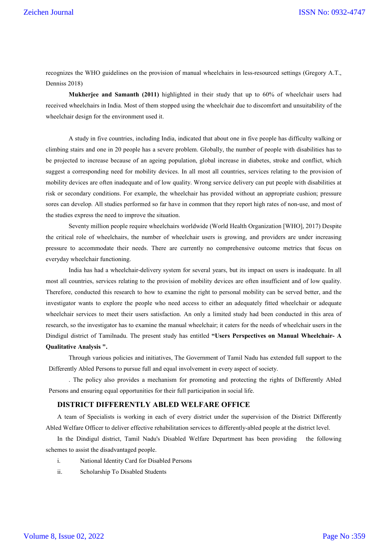recognizes the WHO guidelines on the provision of manual wheelchairs in less-resourced settings (Gregory A.T., Denniss 2018)

**Mukherjee and Samanth (2011)** highlighted in their study that up to 60% of wheelchair users had received wheelchairs in India. Most of them stopped using the wheelchair due to discomfort and unsuitability of the wheelchair design for the environment used it.

A study in five countries, including India, indicated that about one in five people has difficulty walking or climbing stairs and one in 20 people has a severe problem. Globally, the number of people with disabilities has to be projected to increase because of an ageing population, global increase in diabetes, stroke and conflict, which suggest a corresponding need for mobility devices. In all most all countries, services relating to the provision of mobility devices are often inadequate and of low quality. Wrong service delivery can put people with disabilities at risk or secondary conditions. For example, the wheelchair has provided without an appropriate cushion; pressure sores can develop*.* All studies performed so far have in common that they report high rates of non-use, and most of the studies express the need to improve the situation.

Seventy million people require wheelchairs worldwide (World Health Organization [WHO], 2017) Despite the critical role of wheelchairs, the number of wheelchair users is growing, and providers are under increasing pressure to accommodate their needs. There are currently no comprehensive outcome metrics that focus on everyday wheelchair functioning.

India has had a wheelchair-delivery system for several years, but its impact on users is inadequate. In all most all countries, services relating to the provision of mobility devices are often insufficient and of low quality. Therefore, conducted this research to how to examine the right to personal mobility can be served better, and the investigator wants to explore the people who need access to either an adequately fitted wheelchair or adequate wheelchair services to meet their users satisfaction. An only a limited study had been conducted in this area of research, so the investigator has to examine the manual wheelchair; it caters for the needs of wheelchair users in the Dindigul district of Tamilnadu. The present study has entitled **"Users Perspectives on Manual Wheelchair- A Qualitative Analysis ".**

Through various policies and initiatives, The Government of Tamil Nadu has extended full support to the Differently Abled Persons to pursue full and equal involvement in every aspect of society.

. The policy also provides a mechanism for promoting and protecting the rights of Differently Abled Persons and ensuring equal opportunities for their full participation in social life.

#### **DISTRICT DIFFERENTLY ABLED WELFARE OFFICE**

A team of Specialists is working in each of every district under the supervision of the District Differently Abled Welfare Officer to deliver effective rehabilitation services to differently-abled people at the district level.

In the Dindigul district, Tamil Nadu's Disabled Welfare Department has been providing the following schemes to assist the disadvantaged people.

- i. National Identity Card for Disabled Persons
- ii. Scholarship To Disabled Students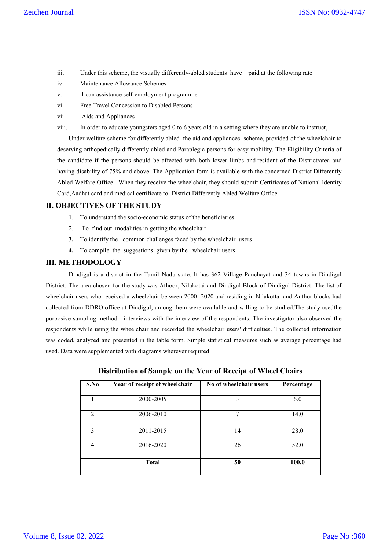- iii. Under this scheme, the visually differently-abled students have paid at the following rate
- iv. Maintenance Allowance Schemes
- v. Loan assistance self-employment programme
- vi. Free Travel Concession to Disabled Persons
- vii. Aids and Appliances
- viii. In order to educate youngsters aged 0 to 6 years old in a setting where they are unable to instruct,

Under welfare scheme for differently abled the aid and appliances scheme, provided of the wheelchair to deserving orthopedically differently-abled and Paraplegic persons for easy mobility. The Eligibility Criteria of the candidate if the persons should be affected with both lower limbs and resident of the District/area and having disability of 75% and above. The Application form is available with the concerned District Differently Abled Welfare Office. When they receive the wheelchair, they should submit Certificates of National Identity Card,Aadhat card and medical certificate to District Differently Abled Welfare Office.

#### **II. OBJECTIVES OF THE STUDY**

- 1. To understand the socio-economic status of the beneficiaries.
- 2. To find out modalities in getting the wheelchair
- **3.** To identify the common challenges faced by the wheelchair users
- **4.** To compile the suggestions given by the wheelchair users

#### **III. METHODOLOGY**

Dindigul is a district in the Tamil Nadu state. It has 362 Village Panchayat and 34 towns in Dindigul District. The area chosen for the study was Athoor, Nilakotai and Dindigul Block of Dindigul District. The list of wheelchair users who received a wheelchair between 2000- 2020 and residing in Nilakottai and Author blocks had collected from DDRO office at Dindigul; among them were available and willing to be studied.The study usedthe purposive sampling method—interviews with the interview of the respondents. The investigator also observed the respondents while using the wheelchair and recorded the wheelchair users' difficulties. The collected information was coded, analyzed and presented in the table form. Simple statistical measures such as average percentage had used. Data were supplemented with diagrams wherever required.

| S.No          | Year of receipt of wheelchair | No of wheelchair users | Percentage |
|---------------|-------------------------------|------------------------|------------|
|               | 2000-2005                     | 3                      | 6.0        |
| $\mathcal{L}$ | 2006-2010                     |                        | 14.0       |
| 3             | 2011-2015                     | 14                     | 28.0       |
| 4             | 2016-2020                     | 26                     | 52.0       |
|               | <b>Total</b>                  | 50                     | 100.0      |

#### **Distribution of Sample on the Year of Receipt of Wheel Chairs**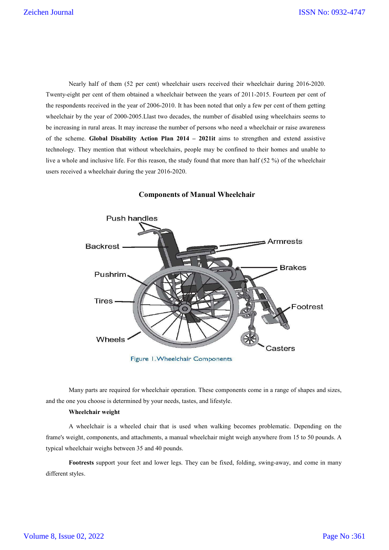Nearly half of them (52 per cent) wheelchair users received their wheelchair during 2016-2020. Twenty-eight per cent of them obtained a wheelchair between the years of 2011-2015. Fourteen per cent of the respondents received in the year of 2006-2010. It has been noted that only a few per cent of them getting wheelchair by the year of 2000-2005.Llast two decades, the number of disabled using wheelchairs seems to be increasing in rural areas. It may increase the number of persons who need a wheelchair or raise awareness of the scheme. **Global Disability Action Plan 2014 – 2021it** aims to strengthen and extend assistive technology. They mention that without wheelchairs, people may be confined to their homes and unable to live a whole and inclusive life. For this reason, the study found that more than half (52 %) of the wheelchair users received a wheelchair during the year 2016-2020.

> **Push handles**  $\equiv$  Armrests **Backrest Brakes** Pushrim **Tires** Footrest Wheels Casters

#### **Components of Manual Wheelchair**

Figure 1. Wheelchair Components

Many parts are required for wheelchair operation. These components come in a range of shapes and sizes, and the one you choose is determined by your needs, tastes, and lifestyle.

#### **Wheelchair weight**

A wheelchair is a wheeled chair that is used when walking becomes problematic. Depending on the frame's weight, components, and attachments, a manual wheelchair might weigh anywhere from 15 to 50 pounds. A typical wheelchair weighs between 35 and 40 pounds.

**Footrests** support your feet and lower legs. They can be fixed, folding, swing-away, and come in many different styles.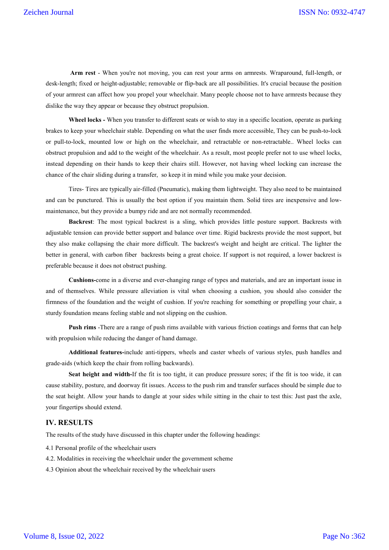**Arm rest** - When you're not moving, you can rest your arms on armrests. Wraparound, full-length, or desk-length; fixed or height-adjustable; removable or flip-back are all possibilities. It's crucial because the position of your armrest can affect how you propel your wheelchair. Many people choose not to have armrests because they dislike the way they appear or because they obstruct propulsion.

**Wheel locks -** When you transfer to different seats or wish to stay in a specific location, operate as parking brakes to keep your wheelchair stable. Depending on what the user finds more accessible, They can be push-to-lock or pull-to-lock, mounted low or high on the wheelchair, and retractable or non-retractable.. Wheel locks can obstruct propulsion and add to the weight of the wheelchair. As a result, most people prefer not to use wheel locks, instead depending on their hands to keep their chairs still. However, not having wheel locking can increase the chance of the chair sliding during a transfer, so keep it in mind while you make your decision.

Tires- Tires are typically air-filled (Pneumatic), making them lightweight. They also need to be maintained and can be punctured. This is usually the best option if you maintain them. Solid tires are inexpensive and lowmaintenance, but they provide a bumpy ride and are not normally recommended.

**Backrest**: The most typical backrest is a sling, which provides little posture support. Backrests with adjustable tension can provide better support and balance over time. Rigid backrests provide the most support, but they also make collapsing the chair more difficult. The backrest's weight and height are critical. The lighter the better in general, with carbon fiber backrests being a great choice. If support is not required, a lower backrest is preferable because it does not obstruct pushing.

**Cushions-**come in a diverse and ever-changing range of types and materials, and are an important issue in and of themselves. While pressure alleviation is vital when choosing a cushion, you should also consider the firmness of the foundation and the weight of cushion. If you're reaching for something or propelling your chair, a sturdy foundation means feeling stable and not slipping on the cushion.

**Push rims** -There are a range of push rims available with various friction coatings and forms that can help with propulsion while reducing the danger of hand damage.

**Additional features-**include anti-tippers, wheels and caster wheels of various styles, push handles and grade-aids (which keep the chair from rolling backwards).

**Seat height and width-**If the fit is too tight, it can produce pressure sores; if the fit is too wide, it can cause stability, posture, and doorway fit issues. Access to the push rim and transfer surfaces should be simple due to the seat height. Allow your hands to dangle at your sides while sitting in the chair to test this: Just past the axle, your fingertips should extend.

#### **IV. RESULTS**

The results of the study have discussed in this chapter under the following headings:

- 4.1 Personal profile of the wheelchair users
- 4.2. Modalities in receiving the wheelchair under the government scheme
- 4.3 Opinion about the wheelchair received by the wheelchair users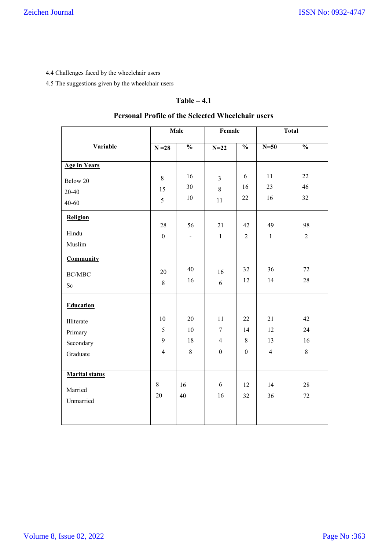4.4 Challenges faced by the wheelchair users

4.5 The suggestions given by the wheelchair users

## **Table – 4.1**

| Female<br>Male        |                  |                              |                  |                  | <b>Total</b>   |                          |
|-----------------------|------------------|------------------------------|------------------|------------------|----------------|--------------------------|
| Variable              | $N = 28$         | $\overline{\frac{0}{0}}$     | $N = 22$         | $\frac{0}{0}$    | $N=50$         | $\overline{\frac{0}{0}}$ |
| <b>Age in Years</b>   |                  |                              |                  |                  |                |                          |
| Below 20              | 8                | 16                           | $\overline{3}$   | 6                | 11             | 22                       |
| 20-40                 | 15               | 30                           | $8\,$            | 16               | 23             | 46                       |
| $40 - 60$             | 5                | 10                           | 11               | 22               | 16             | 32                       |
| Religion              | 28               | 56                           | 21               | 42               | 49             | 98                       |
| Hindu                 | $\boldsymbol{0}$ |                              | $\mathbf{1}$     | $\overline{2}$   | $\mathbf{1}$   | $\overline{2}$           |
| Muslim                |                  | $\qquad \qquad \blacksquare$ |                  |                  |                |                          |
| <b>Community</b>      |                  |                              |                  |                  |                |                          |
| BC/MBC                | 20               | 40                           | 16               | 32               | 36             | 72                       |
| Sc                    | $8\,$            | 16                           | 6                | 12               | 14             | 28                       |
| <b>Education</b>      |                  |                              |                  |                  |                |                          |
| Illiterate            | 10               | 20                           | 11               | 22               | 21             | 42                       |
| Primary               | 5                | 10                           | $\tau$           | 14               | 12             | 24                       |
| Secondary             | 9                | 18                           | $\overline{4}$   | 8                | 13             | 16                       |
| Graduate              | $\overline{4}$   | $\,8\,$                      | $\boldsymbol{0}$ | $\boldsymbol{0}$ | $\overline{4}$ | 8                        |
|                       |                  |                              |                  |                  |                |                          |
| <b>Marital status</b> |                  |                              |                  |                  |                |                          |
| Married               | 8                | 16                           | 6                | 12               | 14             | 28                       |
| Unmarried             | 20               | 40                           | 16               | 32               | 36             | 72                       |
|                       |                  |                              |                  |                  |                |                          |

## **Personal Profile of the Selected Wheelchair users**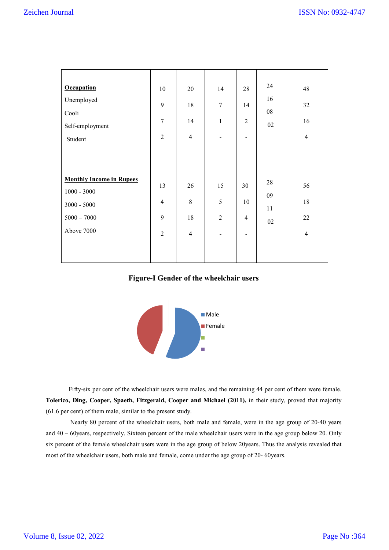| Occupation<br>Unemployed<br>Cooli<br>Self-employment<br>Student                                  | 10<br>9<br>$\overline{7}$<br>$\overline{2}$ | 20<br>18<br>14<br>$\overline{4}$      | 14<br>$\overline{7}$<br>$\mathbf{1}$ | 28<br>14<br>$\sqrt{2}$     | 24<br>16<br>$08\,$<br>$02\,$ | 48<br>32<br>16<br>$\overline{4}$     |
|--------------------------------------------------------------------------------------------------|---------------------------------------------|---------------------------------------|--------------------------------------|----------------------------|------------------------------|--------------------------------------|
| <b>Monthly Income in Rupees</b><br>$1000 - 3000$<br>$3000 - 5000$<br>$5000 - 7000$<br>Above 7000 | 13<br>$\overline{4}$<br>9<br>$\overline{2}$ | 26<br>$\,8\,$<br>18<br>$\overline{4}$ | 15<br>5<br>$\overline{2}$            | 30<br>10<br>$\overline{4}$ | 28<br>09<br>11<br>02         | 56<br>$18\,$<br>22<br>$\overline{4}$ |

## **Figure-I Gender of the wheelchair users**



Fifty-six per cent of the wheelchair users were males, and the remaining 44 per cent of them were female. **Tolerico, Ding, Cooper, Spaeth, Fitzgerald, Cooper and Michael (2011),** in their study, proved that majority (61.6 per cent) of them male, similar to the present study.

Nearly 80 percent of the wheelchair users, both male and female, were in the age group of 20-40 years and 40 – 60years, respectively. Sixteen percent of the male wheelchair users were in the age group below 20. Only six percent of the female wheelchair users were in the age group of below 20years. Thus the analysis revealed that most of the wheelchair users, both male and female, come under the age group of 20- 60years.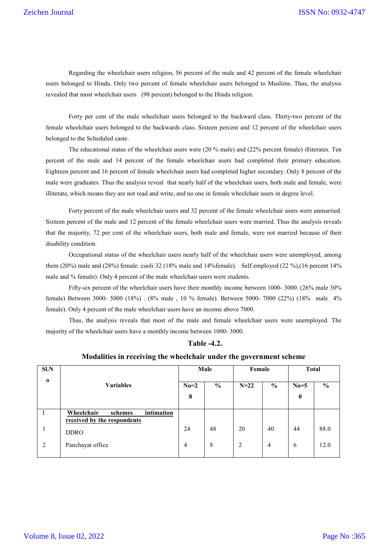Regarding the wheelchair users religion, 56 percent of the male and 42 percent of the female wheelchair users belonged to Hindu. Only two percent of female wheelchair users belonged to Muslims. Thus, the analysis revealed that most wheelchair users (98 percent) belonged to the Hindu religion.

Forty per cent of the male wheelchair users belonged to the backward class. Thirty-two percent of the female wheelchair users belonged to the backwards class. Sixteen percent and 12 percent of the wheelchair users belonged to the Scheduled caste.

The educational status of the wheelchair users were (20 % male) and (22% percent female) illiterates. Ten percent of the male and 14 percent of the female wheelchair users had completed their primary education. Eighteen percent and 16 percent of female wheelchair users had completed higher secondary. Only 8 percent of the male were graduates. Thus the analysis reveal that nearly half of the wheelchair users, both male and female, were illiterate, which means they are not read and write, and no one in female wheelchair users in degree level.

Forty percent of the male wheelchair users and 32 percent of the female wheelchair users were unmarried. Sixteen percent of the male and 12 percent of the female wheelchair users were married. Thus the analysis reveals that the majority, 72 per cent of the wheelchair users, both male and female, were not married because of their disability condition.

Occupational status of the wheelchair users nearly half of the wheelchair users were unemployed, among them (20%) male and (28%) female. cooli 32 (18% male and 14%female). Self employed (22 %),(16 percent 14% male and % female). Only 4 percent of the male wheelchair users were students.

Fifty-six percent of the wheelchair users have their monthly income between 1000- 3000. (26% male 30% female) Between 3000- 5000 (18%) . (8% male , 10 % female). Between 5000- 7000 (22%) (18% male 4% female). Only 4 percent of the male wheelchair users have an income above 7000.

Thus, the analysis reveals that most of the male and female wheelchair users were unemployed. The majority of the wheelchair users have a monthly income between 1000- 3000.

|  | Table -4.2. |
|--|-------------|
|  |             |

| SI.N     |                                                                    | Male           |               | Female   |                | <b>Total</b>     |               |
|----------|--------------------------------------------------------------------|----------------|---------------|----------|----------------|------------------|---------------|
| $\bf{0}$ | <b>Variables</b>                                                   | $No=2$         | $\frac{6}{9}$ | $N = 22$ | $\frac{0}{0}$  | $No=5$           | $\frac{0}{0}$ |
|          |                                                                    | 8              |               |          |                | $\boldsymbol{0}$ |               |
|          |                                                                    |                |               |          |                |                  |               |
|          | intimation<br>Wheelchair<br>schemes<br>received by the respondents |                |               |          |                |                  |               |
| 1        | <b>DDRO</b>                                                        | 24             | 48            | 20       | 40             | 44               | 88.0          |
| 2        | Panchayat office                                                   | $\overline{4}$ | 8             | 2        | $\overline{4}$ | 6                | 12.0          |

| Modalities in receiving the wheelchair under the government scheme |  |  |  |  |
|--------------------------------------------------------------------|--|--|--|--|
|--------------------------------------------------------------------|--|--|--|--|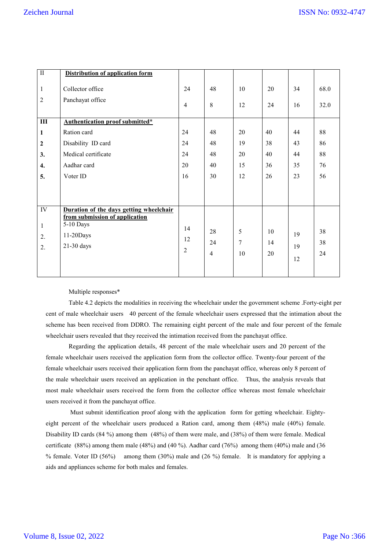| $\overline{\mathbf{u}}$ | <b>Distribution of application form</b>     |                |                |    |    |    |      |
|-------------------------|---------------------------------------------|----------------|----------------|----|----|----|------|
| $\mathbf{1}$            | Collector office                            | 24             | 48             | 10 | 20 | 34 | 68.0 |
| $\overline{2}$          | Panchayat office                            | $\overline{4}$ | 8              | 12 | 24 | 16 | 32.0 |
| $\rm III$               | Authentication proof submitted*             |                |                |    |    |    |      |
| $\mathbf{1}$            | Ration card                                 | 24             | 48             | 20 | 40 | 44 | 88   |
| $\boldsymbol{2}$        | Disability ID card                          | 24             | 48             | 19 | 38 | 43 | 86   |
| 3.                      | Medical certificate                         | 24             | 48             | 20 | 40 | 44 | 88   |
| 4.                      | Aadhar card                                 | 20             | 40             | 15 | 36 | 35 | 76   |
| 5.                      | Voter ID                                    | 16             | 30             | 12 | 26 | 23 | 56   |
|                         |                                             |                |                |    |    |    |      |
|                         |                                             |                |                |    |    |    |      |
| IV                      | Duration of the days getting wheelchair     |                |                |    |    |    |      |
| $\mathbf{1}$            | from submission of application<br>5-10 Days |                |                |    |    |    |      |
| 2.                      | $11-20$ Days                                | 14             | 28             | 5  | 10 | 19 | 38   |
| 2.                      | 21-30 days                                  | 12             | 24             | 7  | 14 | 19 | 38   |
|                         |                                             | $\overline{2}$ | $\overline{4}$ | 10 | 20 | 12 | 24   |
|                         |                                             |                |                |    |    |    |      |
|                         |                                             |                |                |    |    |    |      |

Multiple responses\*

Table 4.2 depicts the modalities in receiving the wheelchair under the government scheme .Forty-eight per cent of male wheelchair users 40 percent of the female wheelchair users expressed that the intimation about the scheme has been received from DDRO. The remaining eight percent of the male and four percent of the female wheelchair users revealed that they received the intimation received from the panchayat office.

Regarding the application details, 48 percent of the male wheelchair users and 20 percent of the female wheelchair users received the application form from the collector office. Twenty-four percent of the female wheelchair users received their application form from the panchayat office, whereas only 8 percent of the male wheelchair users received an application in the penchant office. Thus, the analysis reveals that most male wheelchair users received the form from the collector office whereas most female wheelchair users received it from the panchayat office.

Must submit identification proof along with the application form for getting wheelchair. Eightyeight percent of the wheelchair users produced a Ration card, among them (48%) male (40%) female. Disability ID cards (84 %) among them (48%) of them were male, and (38%) of them were female. Medical certificate (88%) among them male (48%) and (40 %). Aadhar card (76%) among them (40%) male and (36 % female. Voter ID (56%) among them (30%) male and (26 %) female. It is mandatory for applying a aids and appliances scheme for both males and females.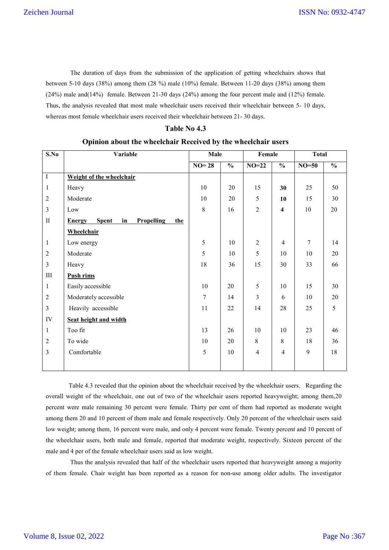The duration of days from the submission of the application of getting wheelchairs shows that between 5-10 days (38%) among them (28 %) male (10%) female. Between 11-20 days (38%) among them (24%) male and(14%) female. Between 21-30 days (24%) among the four percent male and (12%) female. Thus, the analysis revealed that most male wheelchair users received their wheelchair between 5- 10 days, whereas most female wheelchair users received their wheelchair between 21- 30 days.

| Table No 4.3 |  |  |
|--------------|--|--|
|--------------|--|--|

| S.No                    | Variable                                                        | Male    |               | Female         |                         | <b>Total</b>   |               |
|-------------------------|-----------------------------------------------------------------|---------|---------------|----------------|-------------------------|----------------|---------------|
|                         |                                                                 | $NO=28$ | $\frac{0}{0}$ | $NO=22$        | $\frac{0}{0}$           | $NO=50$        | $\frac{0}{0}$ |
| $\overline{I}$          | Weight of the wheelchair                                        |         |               |                |                         |                |               |
| $\mathbf{1}$            | Heavy                                                           | 10      | 20            | 15             | 30                      | 25             | 50            |
| $\overline{c}$          | Moderate                                                        | 10      | 20            | 5              | 10                      | 15             | 30            |
| $\overline{\mathbf{3}}$ | Low                                                             | 8       | 16            | $\overline{2}$ | $\overline{\mathbf{4}}$ | 10             | 20            |
| $\rm II$                | <b>Propelling</b><br><b>Energy</b><br><b>Spent</b><br>in<br>the |         |               |                |                         |                |               |
|                         | Wheelchair                                                      |         |               |                |                         |                |               |
| $\,1$                   | Low energy                                                      | 5       | 10            | $\overline{2}$ | $\overline{4}$          | $\overline{7}$ | 14            |
| $\boldsymbol{2}$        | Moderate                                                        | 5       | 10            | 5              | 10                      | 10             | $20\,$        |
| $\overline{3}$          | Heavy                                                           | 18      | 36            | 15             | 30                      | 33             | 66            |
| $\rm III$               | Push rims                                                       |         |               |                |                         |                |               |
| $\mathbf{1}$            | Easily accessible                                               | 10      | 20            | 5              | 10                      | 15             | 30            |
| $\sqrt{2}$              | Moderately accessible                                           | $\tau$  | 14            | $\overline{3}$ | 6                       | 10             | $20\,$        |
| $\overline{3}$          | Heavily accessible                                              | 11      | 22            | 14             | 28                      | 25             | 5             |
| ${\rm IV}$              | Seat height and width                                           |         |               |                |                         |                |               |
| $\mathbf{1}$            | Too fit                                                         | 13      | 26            | 10             | 10                      | 23             | 46            |
| $\overline{c}$          | To wide                                                         | 10      | 20            | 8              | 8                       | 18             | 36            |
| $\overline{3}$          | Comfortable                                                     | 5       | 10            | $\overline{4}$ | $\overline{4}$          | 9              | 18            |
|                         |                                                                 |         |               |                |                         |                |               |

### **Opinion about the wheelchair Received by the wheelchair users**

Table 4.3 revealed that the opinion about the wheelchair received by the wheelchair users. Regarding the overall weight of the wheelchair, one out of two of the wheelchair users reported heavyweight; among them,20 percent were male remaining 30 percent were female. Thirty per cent of them had reported as moderate weight among them 20 and 10 percent of them male and female respectively. Only 20 percent of the wheelchair users said low weight; among them, 16 percent were male, and only 4 percent were female. Twenty percent and 10 percent of the wheelchair users, both male and female, reported that moderate weight, respectively. Sixteen percent of the male and 4 per of the female wheelchair users said as low weight.

Thus the analysis revealed that half of the wheelchair users reported that heavyweight among a majority of them female. Chair weight has been reported as a reason for non-use among older adults. The investigator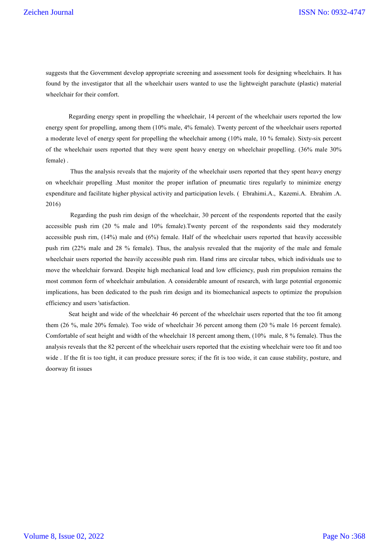suggests that the Government develop appropriate screening and assessment tools for designing wheelchairs. It has found by the investigator that all the wheelchair users wanted to use the lightweight parachute (plastic) material wheelchair for their comfort.

Regarding energy spent in propelling the wheelchair, 14 percent of the wheelchair users reported the low energy spent for propelling, among them (10% male, 4% female). Twenty percent of the wheelchair users reported a moderate level of energy spent for propelling the wheelchair among (10% male, 10 % female). Sixty-six percent of the wheelchair users reported that they were spent heavy energy on wheelchair propelling. (36% male 30% female) .

Thus the analysis reveals that the majority of the wheelchair users reported that they spent heavy energy on wheelchair propelling .Must monitor the proper inflation of pneumatic tires regularly to minimize energy expenditure and facilitate higher physical activity and participation levels. ( Ebrahimi.A., Kazemi.A. Ebrahim .A. 2016)

Regarding the push rim design of the wheelchair, 30 percent of the respondents reported that the easily accessible push rim (20 % male and 10% female).Twenty percent of the respondents said they moderately accessible push rim, (14%) male and (6%) female. Half of the wheelchair users reported that heavily accessible push rim (22% male and 28 % female). Thus, the analysis revealed that the majority of the male and female wheelchair users reported the heavily accessible push rim. Hand rims are circular tubes, which individuals use to move the wheelchair forward. Despite high mechanical load and low efficiency, push rim propulsion remains the most common form of wheelchair ambulation. A considerable amount of research, with large potential ergonomic implications, has been dedicated to the push rim design and its biomechanical aspects to optimize the propulsion efficiency and users 'satisfaction.

Seat height and wide of the wheelchair 46 percent of the wheelchair users reported that the too fit among them (26 %, male 20% female). Too wide of wheelchair 36 percent among them (20 % male 16 percent female). Comfortable of seat height and width of the wheelchair 18 percent among them, (10% male, 8 % female). Thus the analysis reveals that the 82 percent of the wheelchair users reported that the existing wheelchair were too fit and too wide . If the fit is too tight, it can produce pressure sores; if the fit is too wide, it can cause stability, posture, and doorway fit issues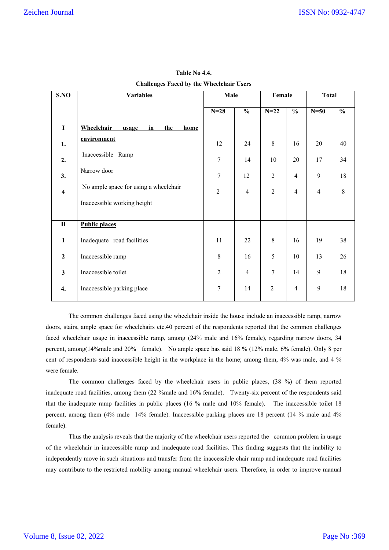| S.NO                    | <b>Variables</b>                                | Male           |                | Female         |                | <b>Total</b>   |               |
|-------------------------|-------------------------------------------------|----------------|----------------|----------------|----------------|----------------|---------------|
|                         |                                                 | $N=28$         | $\frac{0}{0}$  | $N = 22$       | $\frac{0}{0}$  | $N=50$         | $\frac{0}{0}$ |
| $\mathbf I$             | <b>Wheelchair</b><br>in<br>the<br>home<br>usage |                |                |                |                |                |               |
| 1.                      | environment                                     | 12             | 24             | 8              | 16             | 20             | 40            |
| 2.                      | Inaccessible Ramp                               | $\overline{7}$ | 14             | 10             | 20             | 17             | 34            |
| 3.                      | Narrow door                                     | $\overline{7}$ | 12             | $\overline{2}$ | $\overline{4}$ | 9              | 18            |
| $\overline{\mathbf{4}}$ | No ample space for using a wheelchair           | $\overline{2}$ | $\overline{4}$ | $\overline{2}$ | $\overline{4}$ | $\overline{4}$ | $\,8\,$       |
|                         | Inaccessible working height                     |                |                |                |                |                |               |
| $\overline{\mathbf{u}}$ | <b>Public places</b>                            |                |                |                |                |                |               |
| $\mathbf{1}$            | Inadequate road facilities                      | 11             | 22             | 8              | 16             | 19             | 38            |
| $\boldsymbol{2}$        | Inaccessible ramp                               | 8              | 16             | 5              | 10             | 13             | 26            |
| $\mathbf{3}$            | Inaccessible toilet                             | $\overline{2}$ | $\overline{4}$ | $\overline{7}$ | 14             | 9              | 18            |
| 4.                      | Inaccessible parking place                      | $\overline{7}$ | 14             | $\overline{2}$ | 4              | 9              | 18            |

**Table No 4.4. Challenges Faced by the Wheelchair Users**

The common challenges faced using the wheelchair inside the house include an inaccessible ramp, narrow doors, stairs, ample space for wheelchairs etc.40 percent of the respondents reported that the common challenges faced wheelchair usage in inaccessible ramp, among (24% male and 16% female), regarding narrow doors, 34 percent, among(14%male and 20% female). No ample space has said 18 % (12% male, 6% female). Only 8 per cent of respondents said inaccessible height in the workplace in the home; among them, 4% was male, and 4 % were female.

The common challenges faced by the wheelchair users in public places, (38 %) of them reported inadequate road facilities, among them (22 %male and 16% female). Twenty-six percent of the respondents said that the inadequate ramp facilities in public places (16 % male and 10% female). The inaccessible toilet 18 percent, among them (4% male 14% female). Inaccessible parking places are 18 percent (14 % male and 4% female).

Thus the analysis reveals that the majority of the wheelchair users reported the common problem in usage of the wheelchair in inaccessible ramp and inadequate road facilities. This finding suggests that the inability to independently move in such situations and transfer from the inaccessible chair ramp and inadequate road facilities may contribute to the restricted mobility among manual wheelchair users. Therefore, in order to improve manual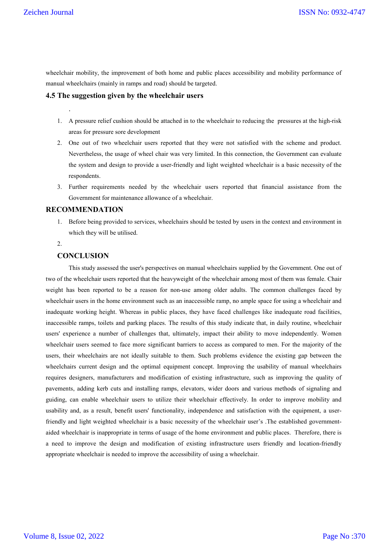wheelchair mobility, the improvement of both home and public places accessibility and mobility performance of manual wheelchairs (mainly in ramps and road) should be targeted.

#### **4.5 The suggestion given by the wheelchair users**

- 1. A pressure relief cushion should be attached in to the wheelchair to reducing the pressures at the high-risk areas for pressure sore development
- 2. One out of two wheelchair users reported that they were not satisfied with the scheme and product. Nevertheless, the usage of wheel chair was very limited. In this connection, the Government can evaluate the system and design to provide a user-friendly and light weighted wheelchair is a basic necessity of the respondents.
- 3. Further requirements needed by the wheelchair users reported that financial assistance from the Government for maintenance allowance of a wheelchair.

#### **RECOMMENDATION**

.

- 1. Before being provided to services, wheelchairs should be tested by users in the context and environment in which they will be utilised.
- 2.

#### **CONCLUSION**

This study assessed the user's perspectives on manual wheelchairs supplied by the Government. One out of two of the wheelchair users reported that the heavyweight of the wheelchair among most of them was female. Chair weight has been reported to be a reason for non-use among older adults. The common challenges faced by wheelchair users in the home environment such as an inaccessible ramp, no ample space for using a wheelchair and inadequate working height. Whereas in public places, they have faced challenges like inadequate road facilities, inaccessible ramps, toilets and parking places. The results of this study indicate that, in daily routine, wheelchair users' experience a number of challenges that, ultimately, impact their ability to move independently. Women wheelchair users seemed to face more significant barriers to access as compared to men. For the majority of the users, their wheelchairs are not ideally suitable to them. Such problems evidence the existing gap between the wheelchairs current design and the optimal equipment concept. Improving the usability of manual wheelchairs requires designers, manufacturers and modification of existing infrastructure, such as improving the quality of pavements, adding kerb cuts and installing ramps, elevators, wider doors and various methods of signaling and guiding, can enable wheelchair users to utilize their wheelchair effectively. In order to improve mobility and usability and, as a result, benefit users' functionality, independence and satisfaction with the equipment, a userfriendly and light weighted wheelchair is a basic necessity of the wheelchair user's .The established governmentaided wheelchair is inappropriate in terms of usage of the home environment and public places. Therefore, there is a need to improve the design and modification of existing infrastructure users friendly and location-friendly appropriate wheelchair is needed to improve the accessibility of using a wheelchair.